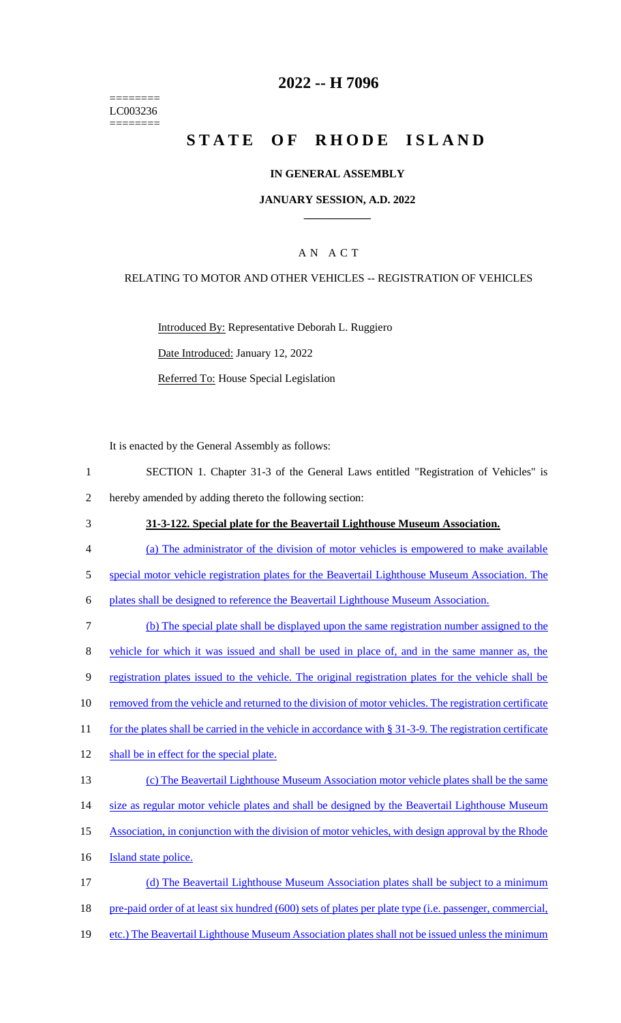======== LC003236 ========

# **2022 -- H 7096**

# **STATE OF RHODE ISLAND**

#### **IN GENERAL ASSEMBLY**

#### **JANUARY SESSION, A.D. 2022 \_\_\_\_\_\_\_\_\_\_\_\_**

## A N A C T

#### RELATING TO MOTOR AND OTHER VEHICLES -- REGISTRATION OF VEHICLES

Introduced By: Representative Deborah L. Ruggiero Date Introduced: January 12, 2022 Referred To: House Special Legislation

It is enacted by the General Assembly as follows:

- 1 SECTION 1. Chapter 31-3 of the General Laws entitled "Registration of Vehicles" is 2 hereby amended by adding thereto the following section:
- 3 **31-3-122. Special plate for the Beavertail Lighthouse Museum Association.**
- 4 (a) The administrator of the division of motor vehicles is empowered to make available
- 5 special motor vehicle registration plates for the Beavertail Lighthouse Museum Association. The
- 6 plates shall be designed to reference the Beavertail Lighthouse Museum Association.
- 7 (b) The special plate shall be displayed upon the same registration number assigned to the 8 vehicle for which it was issued and shall be used in place of, and in the same manner as, the 9 registration plates issued to the vehicle. The original registration plates for the vehicle shall be 10 removed from the vehicle and returned to the division of motor vehicles. The registration certificate 11 for the plates shall be carried in the vehicle in accordance with § 31-3-9. The registration certificate 12 shall be in effect for the special plate. 13 (c) The Beavertail Lighthouse Museum Association motor vehicle plates shall be the same 14 size as regular motor vehicle plates and shall be designed by the Beavertail Lighthouse Museum 15 Association, in conjunction with the division of motor vehicles, with design approval by the Rhode 16 **Island state police.** 17 (d) The Beavertail Lighthouse Museum Association plates shall be subject to a minimum 18 pre-paid order of at least six hundred (600) sets of plates per plate type (i.e. passenger, commercial,
- 19 etc.) The Beavertail Lighthouse Museum Association plates shall not be issued unless the minimum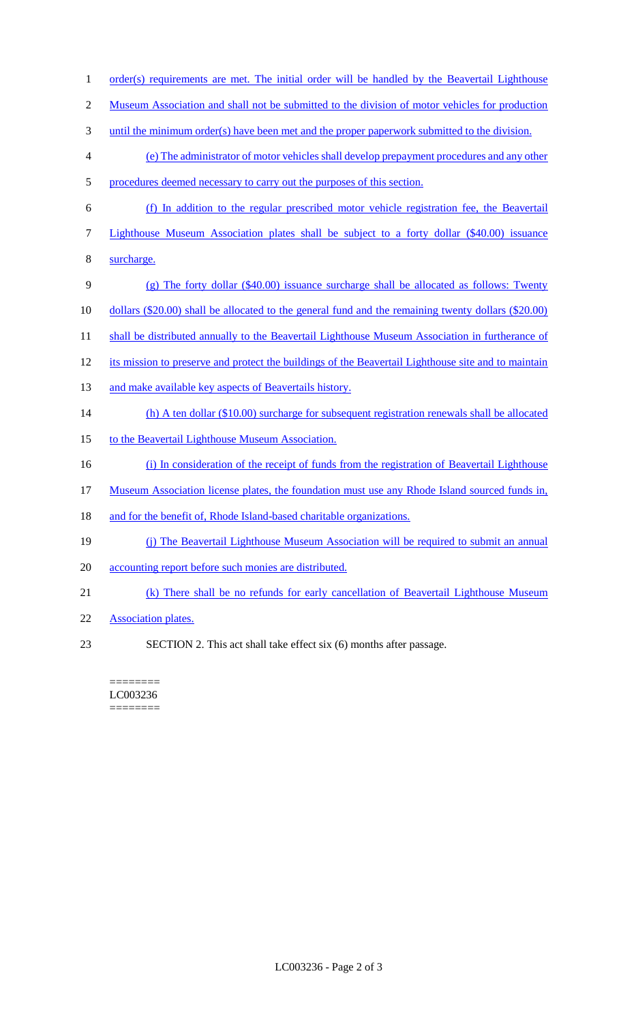- 1 order(s) requirements are met. The initial order will be handled by the Beavertail Lighthouse 2 Museum Association and shall not be submitted to the division of motor vehicles for production 3 until the minimum order(s) have been met and the proper paperwork submitted to the division. 4 (e) The administrator of motor vehicles shall develop prepayment procedures and any other 5 procedures deemed necessary to carry out the purposes of this section. 6 (f) In addition to the regular prescribed motor vehicle registration fee, the Beavertail 7 Lighthouse Museum Association plates shall be subject to a forty dollar (\$40.00) issuance 8 surcharge. 9 (g) The forty dollar (\$40.00) issuance surcharge shall be allocated as follows: Twenty 10 dollars (\$20.00) shall be allocated to the general fund and the remaining twenty dollars (\$20.00) 11 shall be distributed annually to the Beavertail Lighthouse Museum Association in furtherance of 12 its mission to preserve and protect the buildings of the Beavertail Lighthouse site and to maintain 13 and make available key aspects of Beavertails history. 14 (h) A ten dollar (\$10.00) surcharge for subsequent registration renewals shall be allocated 15 to the Beavertail Lighthouse Museum Association. 16 (i) In consideration of the receipt of funds from the registration of Beavertail Lighthouse 17 Museum Association license plates, the foundation must use any Rhode Island sourced funds in, 18 and for the benefit of, Rhode Island-based charitable organizations. 19 (j) The Beavertail Lighthouse Museum Association will be required to submit an annual 20 accounting report before such monies are distributed. 21 (k) There shall be no refunds for early cancellation of Beavertail Lighthouse Museum 22 Association plates.
- 23 SECTION 2. This act shall take effect six (6) months after passage.

#### ======== LC003236 ========